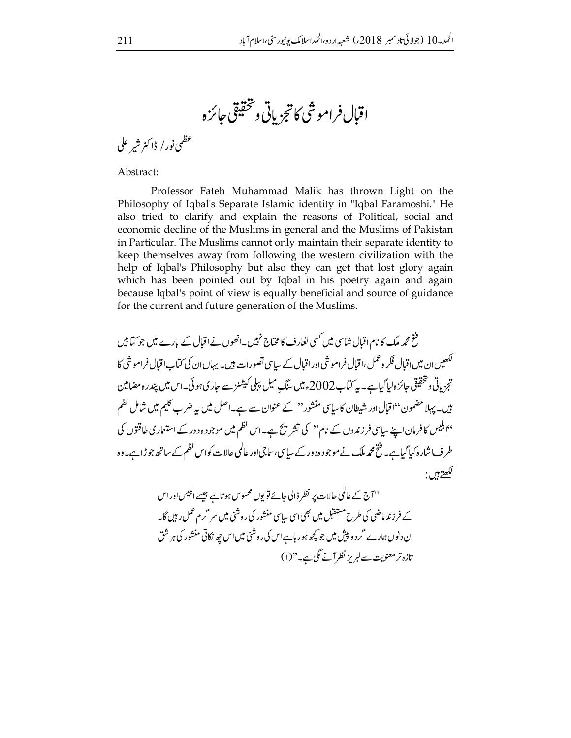اقبال فراموشى كاتجزياتي وتحقيقي حائزه

عظمى نور/ ڈاکٹر شیر علی

Abstract:

Professor Fateh Muhammad Malik has thrown Light on the Philosophy of Iqbal's Separate Islamic identity in "Iqbal Faramoshi." He also tried to clarify and explain the reasons of Political, social and economic decline of the Muslims in general and the Muslims of Pakistan in Particular. The Muslims cannot only maintain their separate identity to keep themselves away from following the western civilization with the help of Iqbal's Philosophy but also they can get that lost glory again which has been pointed out by Iqbal in his poetry again and again because Iqbal's point of view is equally beneficial and source of guidance for the current and future generation of the Muslims.

فتح محمہ ملک کا نام اقبال شاسی میں کسی تعارف کا مختاج نہیں۔انھوں نے اقبال کے بارے میں جو کتابیں <sup>لک</sup>ھیں ان میں اقبال فکر وعمل،اقبال فرامو شی اور اقبال کے سیاسی تصورات ہیں۔ یہاں ان کی کتاب اقبال فرامو شی کا تجزیاتی و تحقیقی جائزہ لیا گیا ہے۔ یہ کتاب 2002ء میں سنگ میل پہلی کیشنز سے جاری ہو ئی۔اس میں پندرہ مضامین ہیں۔ پہلا مضمون ''اقبال اور شیطان کاسایی منشور'' کے عنوان سے ہے۔اصل میں ہیہ ضرب کلیم میں شامل نظم ''ابلیس کافرمان اپنے سایپ فرزندوں کے نام'' کی تشر ت<del>ے ہے</del>۔اس نظم میں موجودہ دور کے استع<sub>ا</sub>ری طاقتوں کی طر ف اشارہ کیا گیا ہے۔ فتح محمد ملک نے موجود ہ د در کے سیاسی،ساجی اور عالمی حالات کواس نظم کے ساتھ جو ڑا ہے۔وہ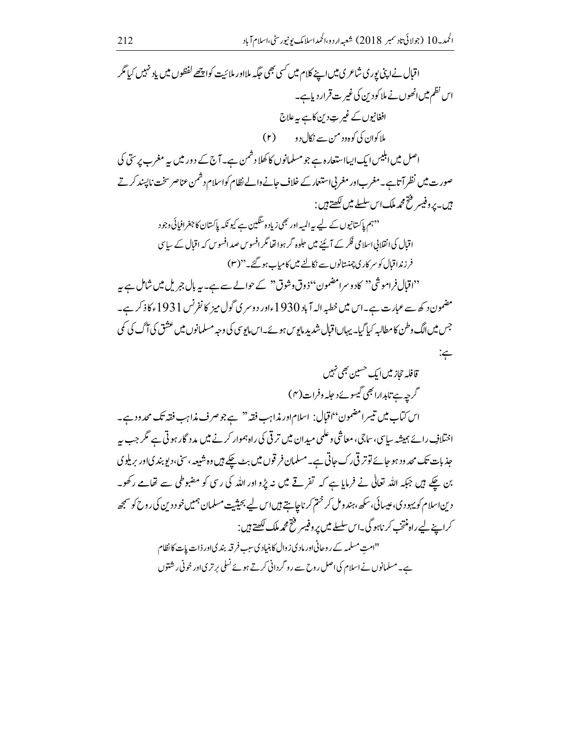اقبال نے اپنی بور ی شاعر ی میں اپنے کلام میں کسی بھی حَکِیہ ملااور ملائیت کوا پیچھے لفظوں میں یاد نہیں کیا مگر اس نظم میں انھوں نے ملاکودین کی غیر ت قرار دیاہے۔ افغانیوں کے غیرتِ دین کاہے ہہ علاج ملاکولان کی کوہ ود ممن سے نکال دو (۲) اصل میں ابلیس ایک ایسااستعار ہ ہے جو مسلمانوں کا کھلا دشمن ہے۔ آج کے دور میں یہ مغرب پر سی کی صورت میں نظر آتاہے۔مغرب اور مغربی استعمار کے خلاف جانے والے نظام کواسلام دشمن عناصر سخت ناپسند کرتے بيں۔ پر وفيسر فتح محمہ ملک اس سلسلے میں لکھتے ہيں : ''ہم پاکستانیوں کے لیے پہ المیہ اور بھی زیادہ سنگین ہے کیونکہ پاکستان کا جغرافیائی وجو د اقبال کی انقلابی اسلامی فکر کے آئے میں حلوہ گر ہوا تھا مگر افسوس صد افسوس کہ اقبال کے ساتی فرزنداقبال کوسر کاری چمنستانوں سے نکالنے میں کامیاب ہو گئے۔"(۳) "اقبال فراموشی" کادوسرامضمون" ذوق وشوق" کے حوالے سے ہے۔ یہ بال جمریل میں شامل ہے ہہ مضمون د کھ سے عبارت ہے۔اس میں خطبہ الہ آباد 1930ءاور دوسر کی گول میز کا نفرنس 1931ء کا ذکر ہے۔ جس میں الگ وطن کا مطالبہ کیا گیا۔ یہاںاقبال شدید مایوس ہوئے۔اس مایوسی کی وجہ مسلمانوں میں عشق کی آگ کی کمی  $:\subset$ قافله حجاز میں ایک حسین بھی نہیں گرچہ ہے تابدارا بھی گیسو نے د حلہ وفرات(۴) اس کتاب میں تیسرامضمون''اقبال: اسلاماور مذاہب فقہ'' ہے جو صرف مذاہب فقہ تک محدود ہے۔ اختلافِ رائے ہمیشہ ساسی، ساجی، معاشی وعلمی میدان میں تر قی کی راہ ہموار کرنے میں مدد گار ہو تی ہے مگر جب بہ جذبات تک محد ود ہو جائے تو تر قی رک جاتی ہے۔مسلمان فر قوں میں بٹ چکے ہیں وہ شیعہ ، سنی، دیو بند ی اور بریلوی بن چکے ہیں جبکہ اللہ تعالٰی نے فرمایا ہے کہ تفرقے میں نہ پڑو اور اللہ کی رسی کو مضبوطی سے تھامے رکھو۔ دین اسلام کویہود کی،عیسائی،سکھ ،ہندومل کر ختم کر ناچاہتے ہیں اس لیے بحیثیت مسلمان ہمیں خود دین کی روح کو سمجھ کراپنے لیےراہ منتخب کر ناہو گی۔اس سلسلے میں پر وفیسر فت<del>ح م</del>ح**د ملک لکھتے ہیں :** "امت مسلمہ کے روحانی اور مادی ز وال کابنیادی سب فرقہ بندی اور ذات پات کا نظام ہے۔ مسلمانوں نے اسلام کی اصل روح سے رو گردانی کرتے ہوئے نسلی برتری اور خونی ر شتوں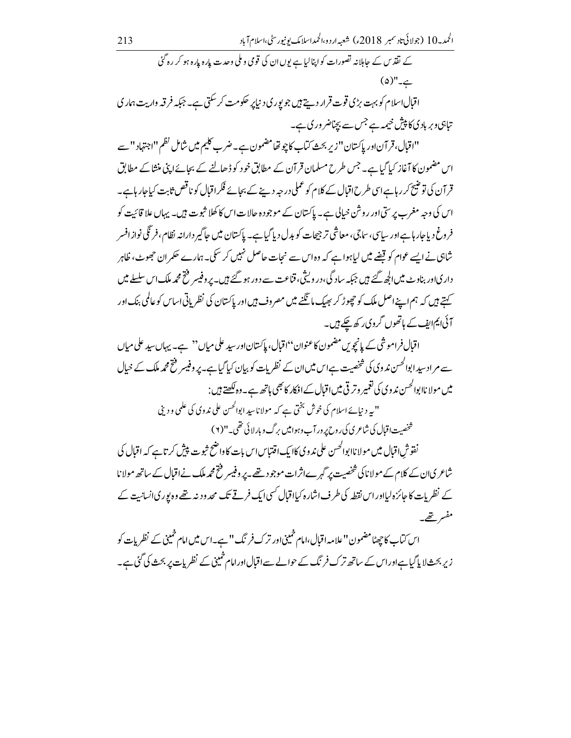$(\varphi)^{\prime\prime}$ ے۔

اقبال اسلام کو بہت بڑی قوت قرار دیتے <del>ہ</del>یں جو پور ی د نیا پر حکومت کر سکتی ہے۔ جبکہ فرقہ واریت ہمار ک تباہی وبربادی کا پیش خیمہ ہے جس سے بچناضر وری ہے۔

"اقبال،قرآن اورپاکستان" زیر بحث کتاب کاچو تھامضمون ہے۔ضرب کلیم میں شامل نظم "اجتہاد" سے اس مضمون کا آغاز کیا گیا ہے۔ جس طرح مسلمان قرآن کے مطابق خود کو ڈھالنے کے بجائے اپنی منشاکے مطابق قر آن کی توقییح کر رہاہے اسی طرح اقبال کے کلام کو عملی درجہ دینے کے بجائے فکر اقبال کو ناقص ثابت کیاجار ہاہے۔ اس کی وجہ مغرب پر ستی اور روشن خیالی ہے۔ پاکستان کے موجود ہ حالات اس کا کھلا شوت ہیں۔ یہاں علا قائیت کو فروغ د یا جار ہاہےاور سیاسی، ساجی، معاشی تر جیجات کو بدل دیا گیا ہے۔ پاکستان میں جاگیر دارانہ نظام، فرنگی نواز افسر شاہی نے ایسے عوام کو قبضے میں لیاہوا ہے کہ وہ اس سے نجات حاصل نہیں کر سکی۔ ہمارے حکمر ان حجھوٹ، ظاہر دار کیاور بناوٹ میں الچھ گئے ہیں جبکہ ساد گی،در ویش، قناعت سے د ور ہو گئے ہیں۔ پر وفیسر فتح محمد ملک اس سلسلے میں \_<br>سیتے ہیں کہ ہم اپنےاصل ملک کو حچھوڑ کر بھیک مانگنے میں مصروف ہیں اور پاکستان کی نظر پاتی اساس کو عالمی بنک اور آئی ایم ایف کے ہاتھوں گروی رکھ چکے ہیں۔

اقبال فراموشی کے پانچویں مضمون کاعنوان''اقبال، پاکستاناور سید علی میاں'' ہے۔ یہاں سید علی میاں سے مراد سیدابوالحسن ندوی کی شخصیت ہےاس میں ان کے نظریات کو بیان کیا گیاہے۔ پر وفیسر فتح محمہ ملک کے خیال میں مولا ناابوالحسن ند وی کی نغمیر و تر قی میں اقبال کے افکار کا بھی ہاتھ ہے۔ وہ لکھتے ہیں : "پہ د نیائے اسلام کی خوش بختی ہے کہ مولاناسپد ابوالحسن علی ندوی کی علمی و د <sup>ی</sup>نی

شخصیت اقبال کی شاعری کی روح پرور آب وہوامیں برگ و بارلائی تھی۔"( ۲ ) نقوش اقبال میں مولا ناابوالحسن علی ندوی کاایک اقتباس اس بات کا داضح ثبوت پیش کرتاہے کہ اقبال کی شاعریان کے کلام کے مولا ناکی شخصیت پر گہر ہےاثرات موجود تھے۔پروفیسر فتح مجمہ ملک نےاقبال کے ساتھ مولا نا کے نظریات کا جائزہ لیااور اس نقطہ کی طرف اشارہ کیااقبال کسی ایک فرقے تک محد ودینہ تھے وہ یور کیاانسانیت کے مفسر تتھے۔

اس کتاب کا چھٹامضمون ''علامہ اقبال،امام خمینی اور ترک فر نگ '' ہے۔اس میں امام خمینی کے نظر پات کو زیر بحث لا پاکیاہےاوراس کے ساتھ ترک فرنگ کے حوالے سے اقبال اور امام خمینی کے نظریات پر بحث کی گئی ہے۔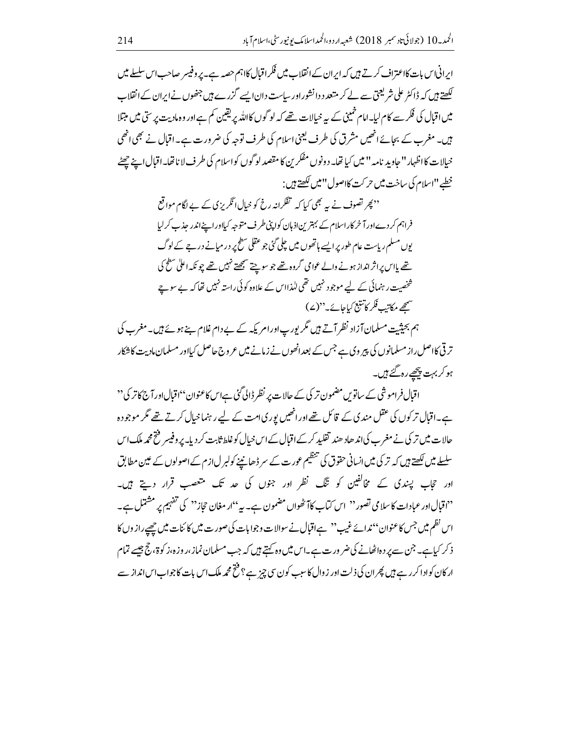اپرانی اس بات کااعتراف کرتے ہیں کہ ایران کے انقلاب میں فکر اقبال کااہم حصہ ہے۔ پر وفیسر صاحب اس سلسلے میں لکھتے ہیں کہ ڈاکٹر علی شریعتی سے لے کر متعدد دانشوراور ساست دان ایسے گزرے ہیں جنھوں نےایران کے انقلاب میں اقبال کی فکر سے کام لیا۔امام خمینی کے بیہ خیالات تھے کہ لو گوں کااللہ پر یقین کم ہے اور وہ مادیت پر ستی میں مبتلا ہیں۔ مغرب کے بجائے انھیں مشرق کی طرف یعنی اسلام کی طرف توجہ کی ضرورت ہے۔اقبال نے بھی انھی خیالات کااظہار '' جاوید نامہ '' میں کیا تھا۔ دونوں مفکرین کا مقصد لو گوں کواسلام کی طرف لا ناتھا۔اقبال اپنے چھٹے خطب<sup>"</sup>اسلام کی ساخت میں حرکت کااصول" میں لکھتے ہیں:

> '' پھر تصوف نے بی<sub>ہ</sub> بھی کیا کہ 'تفکرانہ رخ کو خیال انگریزی کے بے لگام مواقع فراہم کر دےاور آ خر کار اسلام کے بہترین اذہان کواپی طرف متوجہ کیااور اپنےاندر جذب کرلیا یوں مسلم ریاست عام طور پر ایسے ہاتھوں میں چلی گئی جو عقلی سطح پر در میانے در جے کے لوگ تھے پااس پراثر انداز ہونے والے عوامی گروہ تھے جو سوچے سمجھتے نہیں تھے جو نکہ اعلیٰ سطح کی شخصیت رہنمائی کے لیے موجود نہیں تھی للذااس کے علاوہ کوئی راستہ نہیں تھا کہ بے سوچے سمجھے مکاتب فکر کاتتبع کیاجائے۔''(ے)

ہم بحیثیت مسلمان آزاد نظر آتے ہیں مگر بورپاورامریکہ کے بے دام غلام ہے ہوئے ہیں۔ مغرب کی تر قی کااصل راز مسلمانوں کی پیروی ہے جس کے بعد انھوں نے زمانے میں عروج حاصل کیااور مسلمان مادیت کا شکار ہو کر بہت پیچھے رہ گئے ہیں۔

اقبال فراموشی کے ساتوس مضمون تر کی کے حالات پر نظر ڈالی گئی ہےاس کاعنوان''اقبال اور آج کا تر کی'' ہے۔اقبال تر کوں کی عقل مند کی کے قائل تھے اور انھیں پور کی امت کے لیے رہنماخیال کرتے تھے مگر موجود ہ حالات میں تر کی نے مغرب کی اند ھاد ھند تقلید کر کے اقبال کے اس خیال کو غلط ثابت کر دیا۔ پر وفیسر فتح محمہ ملک اس سلسلے میں لکھتے ہیں کہ تر کی میں انسانی حقوق کی تنظیم عورت کے سر ڈھانپنے کولبرل ازم کے اصولوں کے عین مطابق اور حجاب پیندی کے مخالفین کو تنگ نظر اور جنوں کی حد تک متعصب قرار دیتے ہیں۔ "اقبال اور عبادات کاسلامی تصور'' اس کتاب کاآ ٹھواں مضمون ہے۔ بی<sup>،</sup> ار مغان حجاز'' کی تفہیم پر مشتمل ہے۔ اس نظم میں جس کاعنوان''ندائےغیب'' ہےاقبال نے سوالات وجوابات کی صورت میں کائنات میں چھپے رازوں کا ذ کر کیاہے۔ جن سے پر دہاٹھانے کی ضر ورت ہے۔اس میں وہ کہتے ہیں کہ جب مسلمان نماز ،ر وزہ،ز کو ۃ، جج جیسے تمام ار کان کوادا کر رہے ہیں پھر ان کی ذلت اور زوال کا سب کون سی چز ہے ؟ فتح محمد ملک اس بات کا جواب اس انداز سے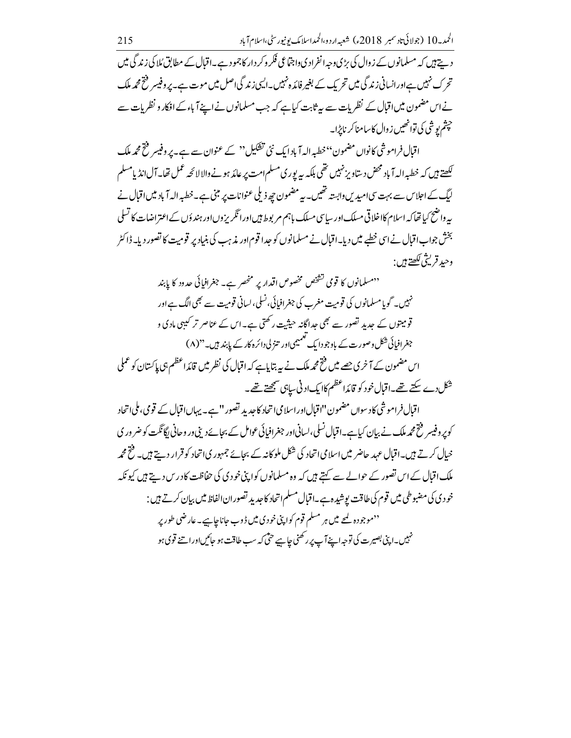دیتے ہیں کہ مسلمانوں کے زوال کی ہڑی وجہ انفرادی واجتماعی فکر وکر دار کا جمود ہے۔اقبال کے مطابق مُلا کی زند گی میں تحرک نہیں ہےاورانسانی زندگی میں تحریک کے بغیر فائدہ نہیں۔ایسی زندگیاصل میں موت ہے۔یروفیسر فتح محمہ ملک نےاس مضمون میں اقبال کے نظریات سے بیرثابت کیا ہے کہ جب مسلمانوں نے اپنے آباءکے افکار و نظریات سے چپٹم یو شی کی توانھیں زوال کاسامنا کر نابڑا۔

اقبال فراموشی کانواں مضمون''خطبہ الیہ آبادا یک نئی تشکیل'' کے عنوان سے ہے۔ پر وفیسر فتح محمد ملک لکھتے ہیں کہ خطبہ الہ آ باد محض د ساویز نہیں تھی بلکہ سے یوری مسلم امت پر عائد ہونے والا لائحہ عمل تھا۔ آل انڈ یامسلم لیگ کے اجلاس سے بہت سی امیدیں وابستہ تھیں۔ یہ مضمون جھ ذیلی عنوانات پر مبنی ہے۔خطبہ الہ آباد میں اقبال نے بہ واضح کیاتھا کہ اسلام کااخلاقی مسلک اور سایپی مسلک باہم مر بوط ہیں اور انگریز وں اور ہند وَں کے اعتراضات کا تسلي بخش جواب اقبال نے اسی خطبے میں دیا۔اقبال نے مسلمانوں کو جدا قوم اور مذہب کی بنیاد پر قومیت کا تصور دیا۔ڈاکٹر وحيد قريشٌ <u>لکھتے</u> ہيں:

<sup>د د</sup>مسلمانوں کا قومی تشخص مخصوص اقدار پر منحصر ہے۔ جغرافیائی حدود کا پابند نہیں۔ گویا مسلمانوں کی قومیت مغرب کی جغرافیائی، نسلی، لسانی قومیت سے بھی الگ ہے اور ۔<br>قومیتوں کے حدید تصور سے بھی حداگانہ حیثت رکھتی ہے۔اس کے عناصر تر کیپی ماد کی و جغرافیائی شکل وصورت کے باوجو دا یک تعمیمی اور حنز لی دائر ہ کار کے پابند ہیں۔''(۸) اس مضمون کے آ خری جھے میں فتح محمہ ملک نے یہ بتایاہے کہ اقبال کی نظر میں قائداعظم ہی پاکستان کو عملی شکل دے سکتے تھے۔اقبال خود کو قائداعظم کاایک ادنی ساہی سمجھتے تھے۔

اقبال فراموشی کاد سواں مضمون "اقبالاوراسلامی اتحاد کاحدید تصور "ہے۔ یہاںاقبال کے قومی،ملی اتحاد کویر وفیسر فتح محمہ ملک نے بیان کیاہے۔اقبال نسلی،لسانیاور جغرافیائی عوامل کے بجائے دینی ور وحانی لگائکت کوضر وری خیال کرتے ہیں۔اقبال عہد حاضر میں اسلامی اتحاد کی شکل ملوکانیہ کے بجائے جمہور کی اتحاد کو قرار دیتے ہیں۔ فتح محمه ملک اقبال کے اس تصور کے حوالے سے کہتے ہیں کہ وہ مسلمانوں کواپنی خود کی کی حفاظت کا در س دیتے ہیں کیونکہ خود ي كي مضبوطي ميں قوم كى طاقت يوشيدہ ہے۔اقبال مسلم اتحاد كاجديد تصوران الفاظ ميں بيان كرتے ہيں : <sup>د د</sup>موجودہ لمحے میں ہر مسلم قوم کواپنی خودی میں ڈوب جاناچاہیے۔عارضی طور پر نہیں۔اپنی بصیرت کی توجہ اپنے آپ پر رکھنی جاہیے حتٰی کہ سب طاقت ہو جائیںاور اتنے قوی ہو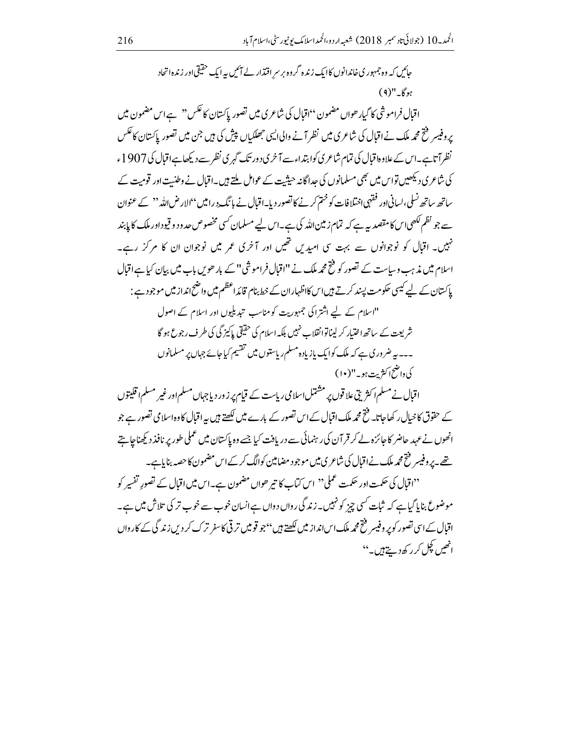$(9)''Kr$ اقبال فراموشی کا گیار ھواں مضمون ''اقبال کی شاعر کی میں تصور پاکستان کا عکس'' ہے اس مضمون میں پروفیسر فتح محمہ ملک نے اقبال کی شاعری میں نظر آنے والی ایپی جھلکیاں پیش کی ہیں جن میں تصور پاکستان کائکس نظر آتاہے۔اس کے علاوہاقبال کی تمام شاعر ی کوا بتداء سے آخر ی دور تک گہر ی نظر سے دیکھاہےاقبال کی 1907ء کی شاعر ی دیکھیں تواس میں بھی مسلمانوں کی جداگانہ حیثت کے عوامل ملتے ہیں۔اقبال نے وطنت اور قومیت کے ساتھ ساتھ نسلی،لسانی اور فقہی اختلافات کو ختم کرنے کا تصور دیا۔اقبال نے بانگ دِرامیں ''الارض اللہ'' کے عنوان سے جو نظم لکھی<sub>ا</sub>س کا مقصد رہے ہے کہ تمام زمین <sub>اللّٰہ</sub> کی ہے۔اس لیے مسلمان <sup>کس</sup>ی مخصوص حد ود و قیوداور ملک کا پابند نہیں۔ اقبال کو نوجوانوں سے بہت سی امیدیں تھیں اور آخری عمر میں نوجوان ان کا مرکز رہے۔ اسلام میں مذہب وسیاست کے تصور کو فتح محمد ملک نے "اقبال فراموشی" کے بار ھویں باب میں بیان کیاہےاقبال پاکستان کے لیے کیسی حکومت پیند کرتے ہیںاس کااظہاران کے خط بنام قائداعظم میں واضح انداز میں موجود ہے : "اسلام کے لیے اشتراکی جمہوریت کومناسب تبدیلیوں اور اسلام کے اصول شریعت کے ساتھ اختیار کر لیناتوانقلاب نہیں بلکہ اسلام کی حقیقی پاکیز گی کی طرف رجوع ہو گا ۔۔۔ یہ ضر ور ک ہے کہ ملک کوایک پازیادہ مسلم ریاستوں میں تقسیم کیاجائے جہاں پر مسلمانوں كى دائىح اڭثرىت ہو۔"(١٠) اقبال نے مسلم اکثر بنی علاقوں پر مشتمل اسلامی ریاست کے قیام پر زور دیاجہاں مسلم اور غیر مسلم اقلیتوں کے حقوق کا خیال رکھا جاتا۔ فتح محمہ ملک اقبال کے اس تصور کے بارے میں لکھتے ہیں ہیہ اقبال کا وہ اسلامی تصور ہے جو انھوں نے عہد حاضر کا جائزہ لے کر قر آن کی رہنمائی سے دریافت کیا جسے وہ پاکستان میں عملی طور پر نافذ دیکھناجا ہتے تھے۔ پر وفیسر فتح محمد ملک نےاقبال کی شاعری میں موجود مضامین کوالگ کر کے اس مضمون کا حصہ بنایاہے۔ ''اقبال کی حکمت اور حکمت عملی'' اس کتاب کا تیر حواں مضمون ہے۔اس میں اقبال کے تصورِ تفسیر کو

جائیں کہ وہ جمہور ی خاندانوں کاایک زندہ گروہ برسر اقتدار لے آئیں یہ ایک حقیقی اور زندہ اتحاد

موضوع بنایا گیا ہے کہ شات کسی چیز کو نہیں۔ زندگی رواں دواں ہے انسان خوب سے خوب ترکی تلاش میں ہے۔ اقبال کے اسی تصور کوپر وفیسر فتح محمہ ملک اس انداز میں لکھتے ہیں ''جو قومیں ترقی کاسفر ترک کر دیں زند گی کے کارواں انھیں کچل کرر کھ دیتے ہیں۔''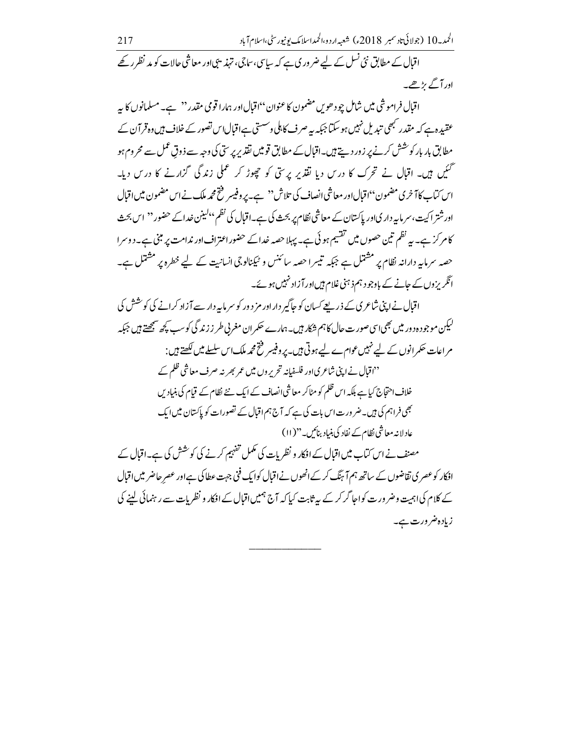## الحمد 10 (جولائى تادىتمبر 2018ء) شعبەار دو،الحمداسلامك يونپورسٹى،اسلام آباد 217 اقبال کے مطابق نئی نسل کے لیے ضر ور <sub>کی ہ</sub>ے کہ سیاسی، ساجی، تہذیبی اور معاشی حالات کو م*د* نظر رکھے اور آگے پڑھے۔

اقبال فراموشي ميں شامل چود ھويں مضمون کا عنوان ''اقبال اور ہمارا قومی مقدر'' ہے۔ مسلمانوں کا ہہ عقبیدہ ہے کہ مقدر مبھی تبدیل نہیںہو سکتاجبکہ بیہ صرف کاہلی وسستی ہےاقبال اس تصور کے خلاف ہیں وہ قر آن کے مطابق بار بار کوشش کرنے پر زور دیتے ہیں۔اقبال کے مطابق قومیں نقد پر پر سی کی وجہ سے ذوق عمل سے محروم ہو گئیں ہیں۔ اقبال نے تحرک کا درس دیا نقدیر پر سی کو چھوڑ کر عملی زندگی گزارنے کا درس دیا۔ اس کتاب کا آخری مضمون ''اقبال اور معاشی انصاف کی تلاش'' ہے۔ پروفیسر فتح محمد ملک نےاس مضمون میں اقبال اورشتر اکیت، سرمایہ دار کیاور پاکستان کے معاشی نظام پر بحث کی ہے۔اقبال کی نظم ''لینن خدا کے حضور'' اس بحث کامرکز ہے۔ بیہ نظم تین حصوں میں تقسیم ہوئی ہے۔ پہلا حصہ خداکے حضوراعتراف اور ندامت پر مبنی ہے۔ دوسرا حصہ سرمایہ دارانہ نظام پر مشتمل ہے جبکہ تبییرا حصہ سائنس و ٹیکنالوجی انسانیت کے لیے خطرہ پر مشتمل ہے۔ انگریزوں کے جانے کے باوجود ہم ذہنی غلام ہیںاور آزاد نہیں ہوئے۔

اقبال نے اپنی شاعری کے ذریعے کسان کو جاگیر داراور مز دور کو سرمایہ دار سے آزاد کرانے کی کوشش کی لیکن موجود ہ دور میں بھی اسی صورت حال کاہم شکار ہیں۔ہمارے حکمر ان مغربی طر ز زند گی کوسب کچھ سمجھتے ہیں جبکہ مراعات حکمر انوں کے لیے نہیں عوام ے لیے ہوتی ہیں۔ پر وفیسر فتح محمہ ملک اس سلسلے میں لکھتے ہیں : ''اقبال نے اپنی شاعر یااور فلسفانہ تحریروں میں عمر بھر نہ صرف معاشی ظلم کے خلاف احتجاج کیا ہے بلکہ اس ظلم کو مٹاکر معاشی انصاف کے ایک نئے نظام کے قیام کی بنیاد پں بھی فراہم کی ہیں۔ضر ورت اس بات کی ہے کہ آج ہم اقبال کے تصورات کو پاکستان میں ایک عاد لانہ معاشی نظام کے نفاد کی بنیاد بنائیں۔''(۱۱) مصنف نے اس کتاب میں اقبال کے افکار و نظریات کی مکمل تفہیم کرنے کی کوشش کی ہے۔اقبال کے

افکار کو عصر کی تقاضوں کے ساتھ ہم آ ہنگ کرکے انھوں نےاقبال کوایک فنی جہت عطا کی ہےاور عصر حاضر میں اقبال کے کلام کی اہمیت وضر ورت کواجا گر کر کے بہ ثابت کیا کہ آج ہمیں اقبال کے افکار و نظریات سے رہنمائی لینے کی زیادہ ضر ورت ہے۔